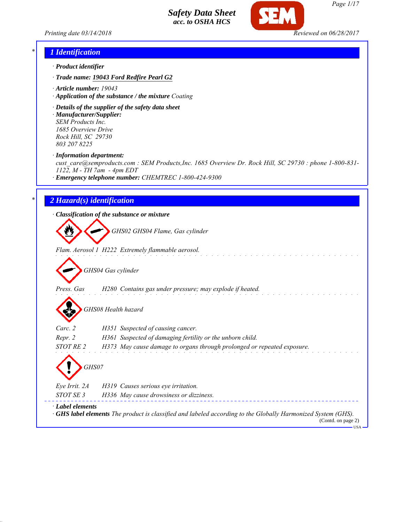*Printing date 03/14/2018 Reviewed on 06/28/2017*



### *\* 1 Identification*

- *· Product identifier*
- *· Trade name: 19043 Ford Redfire Pearl G2*
- *· Article number: 19043*
- *· Application of the substance / the mixture Coating*
- *· Details of the supplier of the safety data sheet · Manufacturer/Supplier: SEM Products Inc.*

*1685 Overview Drive Rock Hill, SC 29730 803 207 8225*

*· Information department:*

*cust\_care@semproducts.com : SEM Products,Inc. 1685 Overview Dr. Rock Hill, SC 29730 : phone 1-800-831- 1122, M - TH 7am - 4pm EDT*

*· Emergency telephone number: CHEMTREC 1-800-424-9300*

### *\* 2 Hazard(s) identification*

*· Classification of the substance or mixture*

*GHS02 GHS04 Flame, Gas cylinder*

*Flam. Aerosol 1 H222 Extremely flammable aerosol.*

*GHS04 Gas cylinder*

*Press. Gas H280 Contains gas under pressure; may explode if heated.*

*GHS08 Health hazard*

| $\mathbf{v}$     |                                                                                                                                           |
|------------------|-------------------------------------------------------------------------------------------------------------------------------------------|
| Carc. 2          | H351 Suspected of causing cancer.                                                                                                         |
| Repr. 2          | H361 Suspected of damaging fertility or the unborn child.                                                                                 |
| STOT RE 2        | H373 May cause damage to organs through prolonged or repeated exposure.                                                                   |
| Eye Irrit. 2A    | GHS07<br>H319 Causes serious eye irritation.                                                                                              |
| STOT SE 3        | H336 May cause drowsiness or dizziness.                                                                                                   |
| · Label elements | $\cdot$ GHS label elements The product is classified and labeled according to the Globally Harmonized System (GHS).<br>(Contd. on page 2) |

 $-<sup>T</sup>$ ISA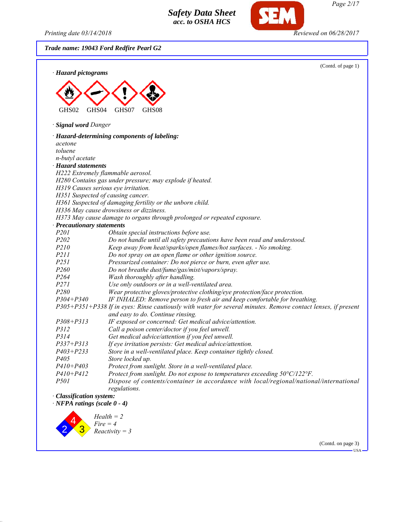*Printing date 03/14/2018 Reviewed on 06/28/2017*

*Page 2/17*

*Trade name: 19043 Ford Redfire Pearl G2*



(Contd. on page 3) USA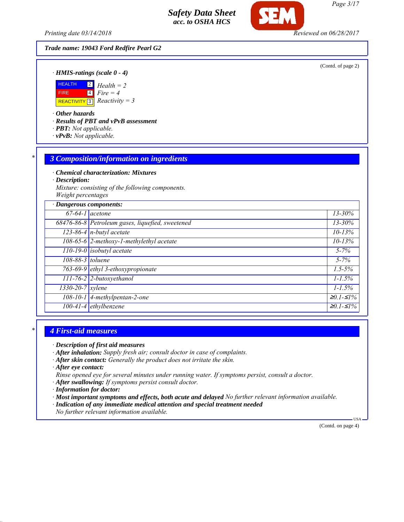*Printing date 03/14/2018 Reviewed on 06/28/2017*

### *Trade name: 19043 Ford Redfire Pearl G2*

(Contd. of page 2)

*· HMIS-ratings (scale 0 - 4)*



*· Other hazards*

*· Results of PBT and vPvB assessment*

- *· PBT: Not applicable.*
- *· vPvB: Not applicable.*

#### *\* 3 Composition/information on ingredients*

*· Chemical characterization: Mixtures*

*· Description:*

*Mixture: consisting of the following components. Weight percentages*

| · Dangerous components: |                                                  |                   |
|-------------------------|--------------------------------------------------|-------------------|
|                         | $67-64-1$ acetone                                | $13 - 30\%$       |
|                         | 68476-86-8 Petroleum gases, liquefied, sweetened | $13 - 30%$        |
|                         | $\sqrt{123-86-4}$ n-butyl acetate                | $10 - 13%$        |
|                         | 108-65-6 2-methoxy-1-methylethyl acetate         | $10 - 13%$        |
|                         | $\boxed{110-19-0}$ isobutyl acetate              | $5 - 7\%$         |
| 108-88-3 toluene        |                                                  | $5 - 7\%$         |
|                         | 763-69-9 ethyl 3-ethoxypropionate                | $1.5 - 5\%$       |
|                         | $111$ -76-2 2-butoxyethanol                      | $1 - 1.5\%$       |
| $1330 - 20 - 7$ xylene  |                                                  | $1 - 1.5\%$       |
|                         | $108-10-1$ 4-methylpentan-2-one                  | $≥0.1-S1%$        |
|                         | 100-41-4 ethylbenzene                            | $\geq 0.1 - 51\%$ |

#### *\* 4 First-aid measures*

*· Description of first aid measures*

- *· After inhalation: Supply fresh air; consult doctor in case of complaints.*
- *· After skin contact: Generally the product does not irritate the skin.*

*· After eye contact:*

*Rinse opened eye for several minutes under running water. If symptoms persist, consult a doctor.*

- *· After swallowing: If symptoms persist consult doctor.*
- *· Information for doctor:*

*· Most important symptoms and effects, both acute and delayed No further relevant information available.*

- *· Indication of any immediate medical attention and special treatment needed*
- *No further relevant information available.*

(Contd. on page 4)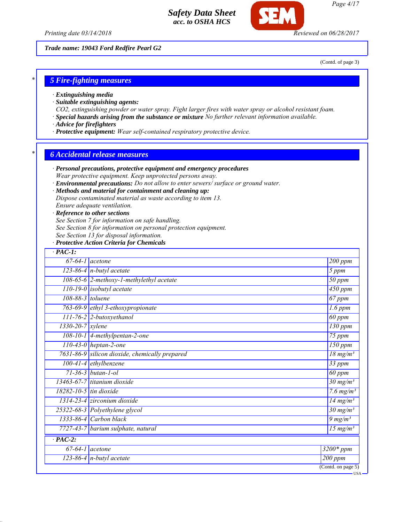*Printing date 03/14/2018 Reviewed on 06/28/2017*

*Trade name: 19043 Ford Redfire Pearl G2*

(Contd. of page 3)

### *\* 5 Fire-fighting measures*

- *· Extinguishing media*
- *· Suitable extinguishing agents:*
- *CO2, extinguishing powder or water spray. Fight larger fires with water spray or alcohol resistant foam.*
- *· Special hazards arising from the substance or mixture No further relevant information available.*
- *· Advice for firefighters*
- *· Protective equipment: Wear self-contained respiratory protective device.*

#### *\* 6 Accidental release measures*

- *· Personal precautions, protective equipment and emergency procedures Wear protective equipment. Keep unprotected persons away.*
- *· Environmental precautions: Do not allow to enter sewers/ surface or ground water.*

#### *· Methods and material for containment and cleaning up:*

*Dispose contaminated material as waste according to item 13.*

*Ensure adequate ventilation.*

#### *· Reference to other sections*

*See Section 7 for information on safe handling.*

- *See Section 8 for information on personal protection equipment.*
- *See Section 13 for disposal information.*

#### *· Protective Action Criteria for Chemicals*

| $67-64-1$ acetone                              | 200 ppm                         |
|------------------------------------------------|---------------------------------|
| $123-86-4$ n-butyl acetate                     | 5 ppm                           |
| 108-65-6 2-methoxy-1-methylethyl acetate       | 50 ppm                          |
| $110-19-0$ isobutyl acetate                    | $450$ ppm                       |
| 108-88-3 toluene                               | 67 ppm                          |
| 763-69-9 ethyl 3-ethoxypropionate              | $1.6$ ppm                       |
| 111-76-2 2-butoxyethanol                       | 60 ppm                          |
| $1330 - 20 - 7$ <i>xylene</i>                  | $\overline{1}30$ ppm            |
| $108-10-1$ 4-methylpentan-2-one                | $\overline{75}$ ppm             |
| $110-43-0$ heptan-2-one                        | $\overline{150}$ ppm            |
| 7631-86-9 silicon dioxide, chemically prepared | $18 \text{ mg/m}^3$             |
| $100-41-4$ ethylbenzene                        | $\overline{33}$ ppm             |
| $71 - 36 - 3$ butan-1-ol                       | 60 ppm                          |
| 13463-67-7 titanium dioxide                    | $30 \text{ mg/m}^3$             |
| $18282 - 10 - 5$ tin dioxide                   | 7.6 $mg/m^3$                    |
| $1314-23-4$ zirconium dioxide                  | 14 mg/m <sup>3</sup>            |
| 25322-68-3 Polyethylene glycol                 | $30 \frac{\text{mg}}{\text{m}}$ |
| $1333-86-4$ Carbon black                       | $9 \ mg/m^3$                    |
| 7727-43-7 barium sulphate, natural             | $\overline{15 \text{ mg}}/m^3$  |
| $\overline{PAC-2}$ :                           |                                 |
| $67-64-1$ acetone                              | $3200*ppm$                      |
| 123-86-4 $n$ -butyl acetate                    | $200$ ppm                       |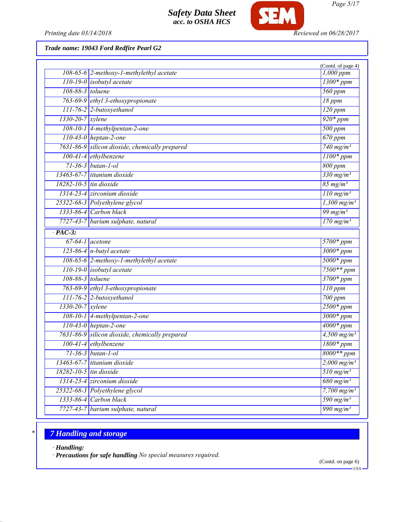

*Printing date 03/14/2018 Reviewed on 06/28/2017*

*Trade name: 19043 Ford Redfire Pearl G2*

|                  |                                                | (Contd. of page 4)                                |
|------------------|------------------------------------------------|---------------------------------------------------|
|                  | $108-65-6$ 2-methoxy-1-methylethyl acetate     | 1,000 ppm                                         |
|                  | $110-19-0$ isobutyl acetate                    | $1300*ppm$                                        |
| 108-88-3 toluene |                                                | $560$ ppm                                         |
|                  | 763-69-9 ethyl 3-ethoxypropionate              | 18 ppm                                            |
|                  | 111-76-2 2-butoxyethanol                       | $\overline{120}$ ppm                              |
| 1330-20-7 xylene |                                                | $920*ppm$                                         |
|                  | $108-10-1$ 4-methylpentan-2-one                | 500 ppm                                           |
|                  | $110-43-0$ heptan-2-one                        | $670$ ppm                                         |
|                  | 7631-86-9 silicon dioxide, chemically prepared | $740$ mg/m <sup>3</sup>                           |
|                  | $100-41-4$ ethylbenzene                        | $1100*ppm$                                        |
|                  | $71 - 36 - 3$ butan-1-ol                       | 800 ppm                                           |
|                  | $13463-67-7$ titanium dioxide                  | $330$ mg/m <sup>3</sup>                           |
|                  | $18282 - 10 - 5$ tin dioxide                   | $85$ mg/m <sup>3</sup>                            |
|                  | $1314-23-4$ zirconium dioxide                  | $\frac{110 \text{ mg/m}^3}{$                      |
|                  | 25322-68-3 Polyethylene glycol                 | $1,300$ mg/m <sup>3</sup>                         |
|                  | $1333 - 86 - 4$ Carbon black                   | 99 mg/m $3$                                       |
|                  | 7727-43-7 barium sulphate, natural             | $\frac{170 \text{ mg/m}^3}{(170 \text{ mg/m}^3)}$ |
| $\cdot$ PAC-3:   |                                                |                                                   |
|                  | $67-64-1$ acetone                              | 5700* ppm                                         |
|                  | 123-86-4 $n$ -butyl acetate                    | $3000*ppm$                                        |
|                  | 108-65-6 2-methoxy-1-methylethyl acetate       | $5000*ppm$                                        |
|                  | $110-19-0$ isobutyl acetate                    | $7500**$ ppm                                      |
| 108-88-3 toluene |                                                | $3700*ppm$                                        |
|                  | 763-69-9 ethyl 3-ethoxypropionate              | $110$ ppm                                         |
|                  | 111-76-2 2-butoxyethanol                       | 700 ppm                                           |
| 1330-20-7 xylene |                                                | $2500*ppm$                                        |
|                  | $108-10-1$ 4-methylpentan-2-one                | $\frac{1}{3000*ppm}$                              |
|                  | $110-43-0$ heptan-2-one                        | $4000*ppm$                                        |
|                  | 7631-86-9 silicon dioxide, chemically prepared | $4,500$ mg/m <sup>3</sup>                         |
|                  | 100-41-4 ethylbenzene                          | $1800*ppm$                                        |
|                  | $71 - 36 - 3$ butan-1-ol                       | 8000** ppm                                        |
|                  | $13463-67-7$ titanium dioxide                  | $2,000$ mg/m <sup>3</sup>                         |
|                  | 18282-10-5 tin dioxide                         | $510$ mg/m <sup>3</sup>                           |
|                  | $1314-23-4$ zirconium dioxide                  | $680$ mg/m <sup>3</sup>                           |
|                  | 25322-68-3 Polyethylene glycol                 | 7,700 $mg/m^3$                                    |
| 1333-86-4        | Carbon black                                   | 590 mg/m <sup>3</sup>                             |
|                  | 7727-43-7 barium sulphate, natural             | 990 mg/m <sup>3</sup>                             |

# *\* 7 Handling and storage*

*· Handling:*

*· Precautions for safe handling No special measures required.*

(Contd. on page 6)

 $-<sub>USA</sub>$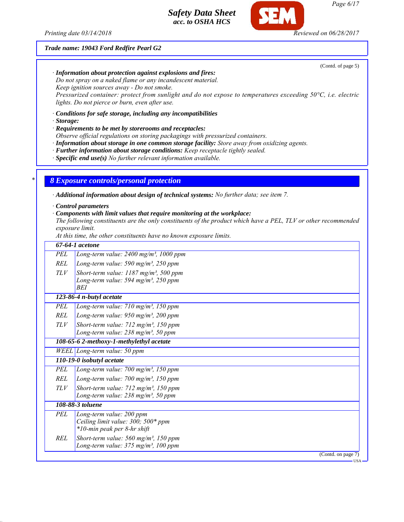*Printing date 03/14/2018 Reviewed on 06/28/2017*

*Trade name: 19043 Ford Redfire Pearl G2*

(Contd. of page 5)

*· Information about protection against explosions and fires:*

*Do not spray on a naked flame or any incandescent material. Keep ignition sources away - Do not smoke.*

*Pressurized container: protect from sunlight and do not expose to temperatures exceeding 50°C, i.e. electric lights. Do not pierce or burn, even after use.*

*· Conditions for safe storage, including any incompatibilities*

*· Storage:*

*· Requirements to be met by storerooms and receptacles:*

*Observe official regulations on storing packagings with pressurized containers.*

*· Information about storage in one common storage facility: Store away from oxidizing agents.*

*· Further information about storage conditions: Keep receptacle tightly sealed.*

*· Specific end use(s) No further relevant information available.*

*\* 8 Exposure controls/personal protection*

*· Additional information about design of technical systems: No further data; see item 7.*

*· Control parameters*

*· Components with limit values that require monitoring at the workplace:*

*The following constituents are the only constituents of the product which have a PEL, TLV or other recommended exposure limit.*

*At this time, the other constituents have no known exposure limits.*

|            | 67-64-1 acetone                                        |                             |
|------------|--------------------------------------------------------|-----------------------------|
| PEL        | Long-term value: $2400$ mg/m <sup>3</sup> , $1000$ ppm |                             |
| <b>REL</b> | Long-term value: 590 mg/m <sup>3</sup> , 250 ppm       |                             |
| TLV        | Short-term value: $1187 \text{ mg/m}^3$ , 500 ppm      |                             |
|            | Long-term value: $594$ mg/m <sup>3</sup> , $250$ ppm   |                             |
|            | BEI                                                    |                             |
|            | 123-86-4 n-butyl acetate                               |                             |
| PEL        | Long-term value: 710 mg/m <sup>3</sup> , 150 ppm       |                             |
| <b>REL</b> | Long-term value: 950 mg/m <sup>3</sup> , 200 ppm       |                             |
| TLV        | Short-term value: $712$ mg/m <sup>3</sup> , 150 ppm    |                             |
|            | Long-term value: 238 mg/m <sup>3</sup> , 50 ppm        |                             |
|            | 108-65-6 2-methoxy-1-methylethyl acetate               |                             |
|            | WEEL Long-term value: 50 ppm                           |                             |
|            | 110-19-0 isobutyl acetate                              |                             |
| PEL        | Long-term value: $700$ mg/m <sup>3</sup> , $150$ ppm   |                             |
| <b>REL</b> | Long-term value: $700$ mg/m <sup>3</sup> , $150$ ppm   |                             |
| TLV        | Short-term value: $712$ mg/m <sup>3</sup> , 150 ppm    |                             |
|            | Long-term value: 238 mg/m <sup>3</sup> , 50 ppm        |                             |
|            | 108-88-3 toluene                                       |                             |
| <b>PEL</b> | Long-term value: 200 ppm                               |                             |
|            | Ceiling limit value: 300; 500* ppm                     |                             |
|            | *10-min peak per 8-hr shift                            |                             |
| REL        | Short-term value: $560$ mg/m <sup>3</sup> , 150 ppm    |                             |
|            | Long-term value: $375 \text{ mg/m}^3$ , 100 ppm        |                             |
|            |                                                        | (Contd. on page 7)<br>·USA· |

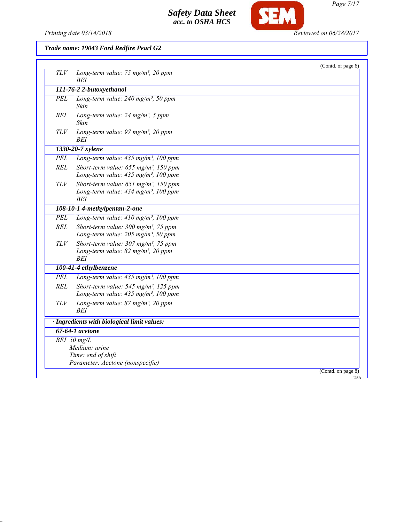

SEM

# *Trade name: 19043 Ford Redfire Pearl G2*

| BEI<br>111-76-2 2-butoxyethanol<br>Long-term value: $240$ mg/m <sup>3</sup> , 50 ppm<br>PEL<br>Skin<br>REL<br>Long-term value: $24$ mg/m <sup>3</sup> , 5 ppm<br>Skin<br>TLV<br>Long-term value: 97 mg/m <sup>3</sup> , 20 ppm<br>BEI<br>1330-20-7 xylene<br>Long-term value: $435$ mg/m <sup>3</sup> , 100 ppm<br><b>REL</b><br>Short-term value: 655 mg/m <sup>3</sup> , 150 ppm<br>Long-term value: 435 mg/m <sup>3</sup> , 100 ppm<br>$TLV$<br>Short-term value: $651$ mg/m <sup>3</sup> , 150 ppm<br>Long-term value: 434 mg/m <sup>3</sup> , 100 ppm<br>BEI<br>108-10-1 4-methylpentan-2-one<br>Long-term value: 410 mg/m <sup>3</sup> , 100 ppm<br><b>REL</b><br>Short-term value: 300 mg/m <sup>3</sup> , 75 ppm<br>Long-term value: $205$ mg/m <sup>3</sup> , 50 ppm<br>TLV<br>Short-term value: $307 \text{ mg/m}^3$ , 75 ppm<br>Long-term value: 82 mg/m <sup>3</sup> , 20 ppm<br><b>BEI</b><br>100-41-4 ethylbenzene<br>Long-term value: 435 mg/m <sup>3</sup> , 100 ppm<br>Short-term value: $545$ mg/m <sup>3</sup> , 125 ppm<br>Long-term value: 435 mg/m <sup>3</sup> , 100 ppm<br>Long-term value: $87$ mg/m <sup>3</sup> , 20 ppm<br>TLV<br><b>BEI</b><br>· Ingredients with biological limit values:<br>67-64-1 acetone<br>$BEI$ 50 mg/L<br>Medium: urine<br>Time: end of shift<br>Parameter: Acetone (nonspecific)<br>(Contd. on page 8) |            |                                                | (Contd. of page 6) |
|--------------------------------------------------------------------------------------------------------------------------------------------------------------------------------------------------------------------------------------------------------------------------------------------------------------------------------------------------------------------------------------------------------------------------------------------------------------------------------------------------------------------------------------------------------------------------------------------------------------------------------------------------------------------------------------------------------------------------------------------------------------------------------------------------------------------------------------------------------------------------------------------------------------------------------------------------------------------------------------------------------------------------------------------------------------------------------------------------------------------------------------------------------------------------------------------------------------------------------------------------------------------------------------------------------------------------------------------------------------|------------|------------------------------------------------|--------------------|
|                                                                                                                                                                                                                                                                                                                                                                                                                                                                                                                                                                                                                                                                                                                                                                                                                                                                                                                                                                                                                                                                                                                                                                                                                                                                                                                                                              | <b>TLV</b> | Long-term value: 75 mg/m <sup>3</sup> , 20 ppm |                    |
|                                                                                                                                                                                                                                                                                                                                                                                                                                                                                                                                                                                                                                                                                                                                                                                                                                                                                                                                                                                                                                                                                                                                                                                                                                                                                                                                                              |            |                                                |                    |
|                                                                                                                                                                                                                                                                                                                                                                                                                                                                                                                                                                                                                                                                                                                                                                                                                                                                                                                                                                                                                                                                                                                                                                                                                                                                                                                                                              |            |                                                |                    |
|                                                                                                                                                                                                                                                                                                                                                                                                                                                                                                                                                                                                                                                                                                                                                                                                                                                                                                                                                                                                                                                                                                                                                                                                                                                                                                                                                              |            |                                                |                    |
|                                                                                                                                                                                                                                                                                                                                                                                                                                                                                                                                                                                                                                                                                                                                                                                                                                                                                                                                                                                                                                                                                                                                                                                                                                                                                                                                                              |            |                                                |                    |
|                                                                                                                                                                                                                                                                                                                                                                                                                                                                                                                                                                                                                                                                                                                                                                                                                                                                                                                                                                                                                                                                                                                                                                                                                                                                                                                                                              |            |                                                |                    |
|                                                                                                                                                                                                                                                                                                                                                                                                                                                                                                                                                                                                                                                                                                                                                                                                                                                                                                                                                                                                                                                                                                                                                                                                                                                                                                                                                              | <b>PEL</b> |                                                |                    |
|                                                                                                                                                                                                                                                                                                                                                                                                                                                                                                                                                                                                                                                                                                                                                                                                                                                                                                                                                                                                                                                                                                                                                                                                                                                                                                                                                              |            |                                                |                    |
|                                                                                                                                                                                                                                                                                                                                                                                                                                                                                                                                                                                                                                                                                                                                                                                                                                                                                                                                                                                                                                                                                                                                                                                                                                                                                                                                                              |            |                                                |                    |
|                                                                                                                                                                                                                                                                                                                                                                                                                                                                                                                                                                                                                                                                                                                                                                                                                                                                                                                                                                                                                                                                                                                                                                                                                                                                                                                                                              |            |                                                |                    |
|                                                                                                                                                                                                                                                                                                                                                                                                                                                                                                                                                                                                                                                                                                                                                                                                                                                                                                                                                                                                                                                                                                                                                                                                                                                                                                                                                              | <b>PEL</b> |                                                |                    |
|                                                                                                                                                                                                                                                                                                                                                                                                                                                                                                                                                                                                                                                                                                                                                                                                                                                                                                                                                                                                                                                                                                                                                                                                                                                                                                                                                              |            |                                                |                    |
|                                                                                                                                                                                                                                                                                                                                                                                                                                                                                                                                                                                                                                                                                                                                                                                                                                                                                                                                                                                                                                                                                                                                                                                                                                                                                                                                                              |            |                                                |                    |
|                                                                                                                                                                                                                                                                                                                                                                                                                                                                                                                                                                                                                                                                                                                                                                                                                                                                                                                                                                                                                                                                                                                                                                                                                                                                                                                                                              |            |                                                |                    |
|                                                                                                                                                                                                                                                                                                                                                                                                                                                                                                                                                                                                                                                                                                                                                                                                                                                                                                                                                                                                                                                                                                                                                                                                                                                                                                                                                              | <b>PEL</b> |                                                |                    |
|                                                                                                                                                                                                                                                                                                                                                                                                                                                                                                                                                                                                                                                                                                                                                                                                                                                                                                                                                                                                                                                                                                                                                                                                                                                                                                                                                              | <b>REL</b> |                                                |                    |
|                                                                                                                                                                                                                                                                                                                                                                                                                                                                                                                                                                                                                                                                                                                                                                                                                                                                                                                                                                                                                                                                                                                                                                                                                                                                                                                                                              |            |                                                |                    |
|                                                                                                                                                                                                                                                                                                                                                                                                                                                                                                                                                                                                                                                                                                                                                                                                                                                                                                                                                                                                                                                                                                                                                                                                                                                                                                                                                              |            |                                                |                    |
|                                                                                                                                                                                                                                                                                                                                                                                                                                                                                                                                                                                                                                                                                                                                                                                                                                                                                                                                                                                                                                                                                                                                                                                                                                                                                                                                                              |            |                                                |                    |
|                                                                                                                                                                                                                                                                                                                                                                                                                                                                                                                                                                                                                                                                                                                                                                                                                                                                                                                                                                                                                                                                                                                                                                                                                                                                                                                                                              |            |                                                |                    |
|                                                                                                                                                                                                                                                                                                                                                                                                                                                                                                                                                                                                                                                                                                                                                                                                                                                                                                                                                                                                                                                                                                                                                                                                                                                                                                                                                              |            |                                                |                    |
|                                                                                                                                                                                                                                                                                                                                                                                                                                                                                                                                                                                                                                                                                                                                                                                                                                                                                                                                                                                                                                                                                                                                                                                                                                                                                                                                                              |            |                                                |                    |
|                                                                                                                                                                                                                                                                                                                                                                                                                                                                                                                                                                                                                                                                                                                                                                                                                                                                                                                                                                                                                                                                                                                                                                                                                                                                                                                                                              |            |                                                |                    |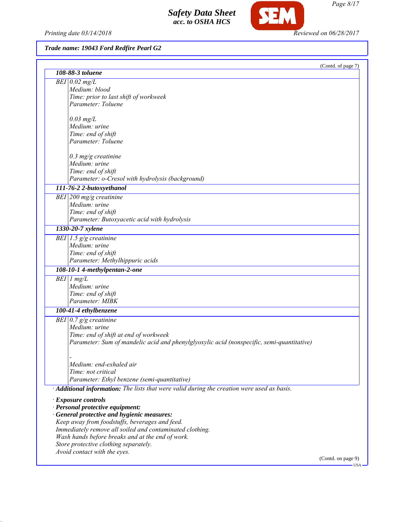Printing date 03/14/2018 **Reviewed on 06/28/2017** 

SEM

# *Trade name: 19043 Ford Redfire Pearl G2*

|                                                                                             | (Contd. of page 7) |
|---------------------------------------------------------------------------------------------|--------------------|
| 108-88-3 toluene                                                                            |                    |
| $BEI$ 0.02 mg/L                                                                             |                    |
| Medium: blood                                                                               |                    |
| Time: prior to last shift of workweek                                                       |                    |
| Parameter: Toluene                                                                          |                    |
| $0.03$ mg/L                                                                                 |                    |
| Medium: urine                                                                               |                    |
| Time: end of shift                                                                          |                    |
| Parameter: Toluene                                                                          |                    |
|                                                                                             |                    |
| $0.3$ mg/g creatinine<br>Medium: urine                                                      |                    |
| Time: end of shift                                                                          |                    |
| Parameter: o-Cresol with hydrolysis (background)                                            |                    |
| 111-76-2 2-butoxyethanol                                                                    |                    |
| BEI 200 mg/g creatinine                                                                     |                    |
| Medium: urine                                                                               |                    |
| Time: end of shift                                                                          |                    |
| Parameter: Butoxyacetic acid with hydrolysis                                                |                    |
| 1330-20-7 xylene                                                                            |                    |
| BEI 1.5 $g/g$ creatinine                                                                    |                    |
| Medium: urine                                                                               |                    |
| Time: end of shift                                                                          |                    |
| Parameter: Methylhippuric acids                                                             |                    |
| 108-10-1 4-methylpentan-2-one                                                               |                    |
| $BEI$ 1 mg/L                                                                                |                    |
| Medium: urine                                                                               |                    |
| Time: end of shift                                                                          |                    |
| Parameter: MIBK                                                                             |                    |
| 100-41-4 ethylbenzene                                                                       |                    |
| BEI $\vert 0.7 \, \mathrm{g/g}$ creatinine                                                  |                    |
| Medium: urine                                                                               |                    |
| Time: end of shift at end of workweek                                                       |                    |
| Parameter: Sum of mandelic acid and phenylglyoxylic acid (nonspecific, semi-quantitative)   |                    |
|                                                                                             |                    |
| Medium: end-exhaled air                                                                     |                    |
| Time: not critical                                                                          |                    |
| Parameter: Ethyl benzene (semi-quantitative)                                                |                    |
| · Additional information: The lists that were valid during the creation were used as basis. |                    |
|                                                                                             |                    |
| · Exposure controls                                                                         |                    |
| · Personal protective equipment:<br>· General protective and hygienic measures:             |                    |
| Keep away from foodstuffs, beverages and feed.                                              |                    |
| Immediately remove all soiled and contaminated clothing.                                    |                    |
| Wash hands before breaks and at the end of work.                                            |                    |
| Store protective clothing separately.                                                       |                    |
| Avoid contact with the eyes.                                                                |                    |
|                                                                                             | (Contd. on page 9) |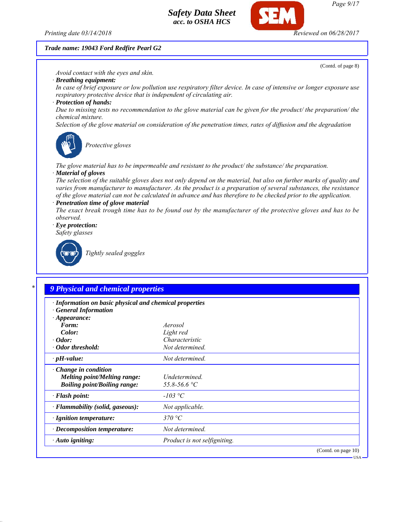

#### *Trade name: 19043 Ford Redfire Pearl G2*

(Contd. of page 8)

*Avoid contact with the eyes and skin.*

*· Breathing equipment:*

*In case of brief exposure or low pollution use respiratory filter device. In case of intensive or longer exposure use respiratory protective device that is independent of circulating air.*

*· Protection of hands:*

*Due to missing tests no recommendation to the glove material can be given for the product/ the preparation/ the chemical mixture.*

*Selection of the glove material on consideration of the penetration times, rates of diffusion and the degradation*



*Protective gloves*

*The glove material has to be impermeable and resistant to the product/ the substance/ the preparation. · Material of gloves*

*The selection of the suitable gloves does not only depend on the material, but also on further marks of quality and varies from manufacturer to manufacturer. As the product is a preparation of several substances, the resistance of the glove material can not be calculated in advance and has therefore to be checked prior to the application.*

*· Penetration time of glove material*

*The exact break trough time has to be found out by the manufacturer of the protective gloves and has to be observed.*

*· Eye protection:*

*Safety glasses*



*Tightly sealed goggles*

### *\* 9 Physical and chemical properties*

| · Information on basic physical and chemical properties<br>· General Information<br>$\cdot$ Appearance: |                               |                     |
|---------------------------------------------------------------------------------------------------------|-------------------------------|---------------------|
| Form:                                                                                                   | Aerosol                       |                     |
| Color:                                                                                                  | Light red                     |                     |
| $\cdot$ Odor:                                                                                           | Characteristic                |                     |
| • Odor threshold:                                                                                       | Not determined.               |                     |
| $\cdot$ pH-value:                                                                                       | Not determined.               |                     |
| $\cdot$ Change in condition<br>Melting point/Melting range:<br><b>Boiling point/Boiling range:</b>      | Undetermined.<br>55.8-56.6 °C |                     |
| $\cdot$ Flash point:                                                                                    | $-103$ °C                     |                     |
| $\cdot$ Flammability (solid, gaseous):                                                                  | Not applicable.               |                     |
| $\cdot$ Ignition temperature:                                                                           | 370 °C                        |                     |
| $\cdot$ Decomposition temperature:                                                                      | Not determined.               |                     |
| $\cdot$ Auto igniting:                                                                                  | Product is not selfigniting.  |                     |
|                                                                                                         |                               | (Contd. on page 10) |

USA

*Page 9/17*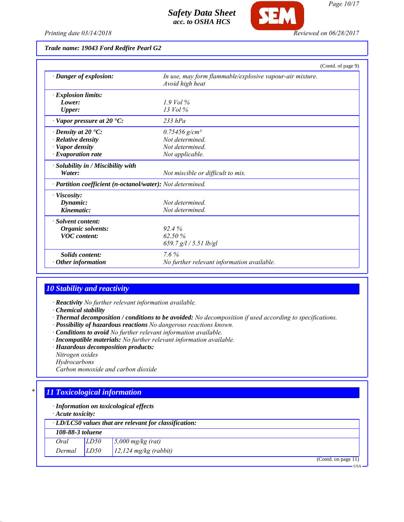

#### *Trade name: 19043 Ford Redfire Pearl G2*

|                                                            |                                                                             | (Contd. of page 9) |
|------------------------------------------------------------|-----------------------------------------------------------------------------|--------------------|
| · Danger of explosion:                                     | In use, may form flammable/explosive vapour-air mixture.<br>Avoid high heat |                    |
| <b>Explosion limits:</b>                                   |                                                                             |                    |
| Lower:                                                     | $1.9$ Vol %                                                                 |                    |
| <b>Upper:</b>                                              | $13$ Vol $\%$                                                               |                    |
| $\cdot$ Vapor pressure at 20 $\cdot$ C:                    | $233$ hPa                                                                   |                    |
| $\cdot$ Density at 20 $\cdot$ C:                           | $0.75456$ g/cm <sup>3</sup>                                                 |                    |
| · Relative density                                         | Not determined.                                                             |                    |
| Vapor density                                              | Not determined                                                              |                    |
| · Evaporation rate                                         | Not applicable.                                                             |                    |
| · Solubility in / Miscibility with                         |                                                                             |                    |
| Water:                                                     | Not miscible or difficult to mix.                                           |                    |
| · Partition coefficient (n-octanol/water): Not determined. |                                                                             |                    |
| · Viscosity:                                               |                                                                             |                    |
| Dynamic:                                                   | Not determined                                                              |                    |
| Kinematic:                                                 | Not determined.                                                             |                    |
| · Solvent content:                                         |                                                                             |                    |
| Organic solvents:                                          | 92.4%                                                                       |                    |
| <b>VOC</b> content:                                        | 62.50%                                                                      |                    |
|                                                            | 659.7 $g/l / 5.51$ lb/gl                                                    |                    |
| <b>Solids content:</b>                                     | $7.6\%$                                                                     |                    |
| Other information                                          | No further relevant information available.                                  |                    |

### *10 Stability and reactivity*

*· Reactivity No further relevant information available.*

*· Chemical stability*

- *· Thermal decomposition / conditions to be avoided: No decomposition if used according to specifications.*
- *· Possibility of hazardous reactions No dangerous reactions known.*
- *· Conditions to avoid No further relevant information available.*
- *· Incompatible materials: No further relevant information available.*
- *· Hazardous decomposition products:*
- *Nitrogen oxides*
- *Hydrocarbons*

*Carbon monoxide and carbon dioxide*

### *\* 11 Toxicological information*

*· Information on toxicological effects*

*· Acute toxicity:*

|                  |      | $\cdot$ LD/LC50 values that are relevant for classification: |  |       |
|------------------|------|--------------------------------------------------------------|--|-------|
| 108-88-3 toluene |      |                                                              |  |       |
| Oral             | LD50 | $\frac{5,000 \text{ mg/kg}}{(\text{rat})}$                   |  |       |
| Dermal           | LD50 | $12,124$ mg/kg (rabbit)                                      |  |       |
|                  |      |                                                              |  | 4.4.5 |

(Contd. on page 11)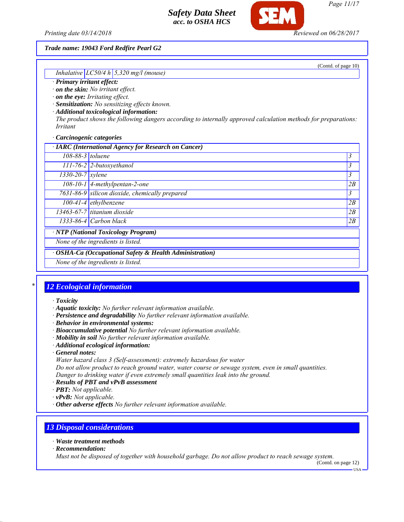*Printing date 03/14/2018 Reviewed on 06/28/2017*

#### *Trade name: 19043 Ford Redfire Pearl G2*

(Contd. of page 10)

#### *· Primary irritant effect:*

- *· on the skin: No irritant effect.*
- *· on the eye: Irritating effect.*
- *· Sensitization: No sensitizing effects known.*

*Inhalative LC50/4 h 5,320 mg/l (mouse)*

*· Additional toxicological information:*

*The product shows the following dangers according to internally approved calculation methods for preparations: Irritant*

#### *· Carcinogenic categories*

| · IARC (International Agency for Research on Cancer)    |    |
|---------------------------------------------------------|----|
| $108-88-3$ toluene                                      | 3  |
| $111$ -76-2 2-butoxyethanol                             | 3  |
| $1330 - 20 - 7$ xylene                                  | 3  |
| $\overline{108-10-1}$ 4-methylpentan-2-one              | 2B |
| 7631-86-9 silicon dioxide, chemically prepared          | 3  |
| $100-41-4$ ethylbenzene                                 | 2B |
| $13463-67-7$ titanium dioxide                           | 2B |
| 1333-86-4 Carbon black                                  | 2B |
| · NTP (National Toxicology Program)                     |    |
| None of the ingredients is listed.                      |    |
| · OSHA-Ca (Occupational Safety & Health Administration) |    |
| None of the ingredients is listed.                      |    |
|                                                         |    |

### *\* 12 Ecological information*

#### *· Toxicity*

- *· Aquatic toxicity: No further relevant information available.*
- *· Persistence and degradability No further relevant information available.*
- *· Behavior in environmental systems:*
- *· Bioaccumulative potential No further relevant information available.*
- *· Mobility in soil No further relevant information available.*
- *· Additional ecological information:*
- *· General notes:*
- *Water hazard class 3 (Self-assessment): extremely hazardous for water*

*Do not allow product to reach ground water, water course or sewage system, even in small quantities. Danger to drinking water if even extremely small quantities leak into the ground.*

- *· Results of PBT and vPvB assessment*
- *· PBT: Not applicable.*
- *· vPvB: Not applicable.*
- *· Other adverse effects No further relevant information available.*

### *13 Disposal considerations*

- *· Waste treatment methods*
- *· Recommendation:*

*Must not be disposed of together with household garbage. Do not allow product to reach sewage system.*

(Contd. on page 12)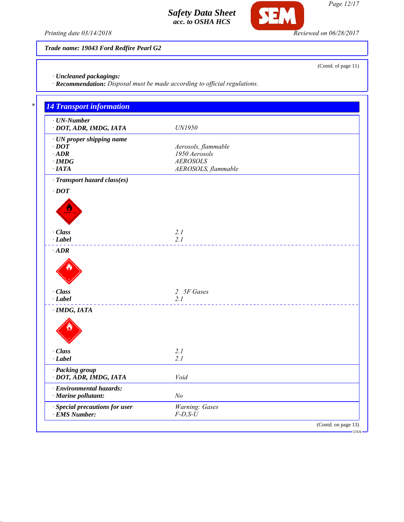

*Page 12/17*

(Contd. of page 11)

*Printing date 03/14/2018 Reviewed on 06/28/2017*

*Trade name: 19043 Ford Redfire Pearl G2*

*· Uncleaned packagings:*

*· Recommendation: Disposal must be made according to official regulations.*

| $\cdot$ UN-Number              |                     |
|--------------------------------|---------------------|
| · DOT, ADR, IMDG, IATA         | UN1950              |
| · UN proper shipping name      |                     |
| $\cdot$ DOT                    | Aerosols, flammable |
| $\cdot$ ADR                    | 1950 Aerosols       |
| $\cdot$ IMDG                   | <b>AEROSOLS</b>     |
| $\cdot$ IATA                   | AEROSOLS, flammable |
| · Transport hazard class(es)   |                     |
| $\cdot$ DOT                    |                     |
|                                |                     |
|                                |                     |
|                                |                     |
|                                |                     |
| · Class                        | 2.1                 |
| $-Label$                       | 2.1                 |
| $\cdot$ ADR                    |                     |
|                                |                     |
| · Class                        | 2 5F Gases          |
| $\cdot$ Label                  | 2.1                 |
| $\cdot$ IMDG, IATA             |                     |
|                                |                     |
|                                |                     |
| · Class                        | 2.1                 |
| $-Label$                       | 2.1                 |
| · Packing group                |                     |
| · DOT, ADR, IMDG, IATA         | Void                |
| · Environmental hazards:       |                     |
| · Marine pollutant:            | N <sub>o</sub>      |
| · Special precautions for user | Warning: Gases      |
| $\cdot$ EMS Number:            | $F$ -D,S-U          |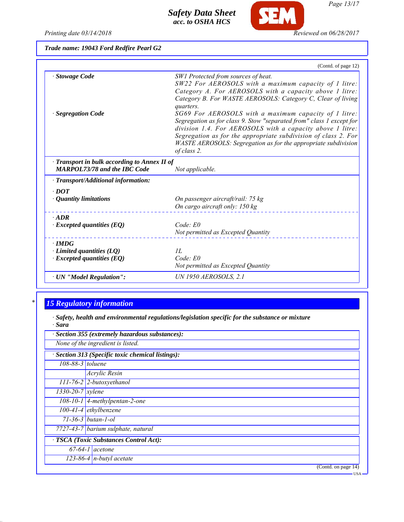

**SEM** 

*Page 13/17*

| Trade name: 19043 Ford Redfire Pearl G2 |  |  |  |  |  |
|-----------------------------------------|--|--|--|--|--|
|-----------------------------------------|--|--|--|--|--|

|                                                                                           | (Contd. of page 12)                                                                                                                                                                                                                                                                                                                                                                                                                                                                                                                                                                  |
|-------------------------------------------------------------------------------------------|--------------------------------------------------------------------------------------------------------------------------------------------------------------------------------------------------------------------------------------------------------------------------------------------------------------------------------------------------------------------------------------------------------------------------------------------------------------------------------------------------------------------------------------------------------------------------------------|
| · Stowage Code<br>· Segregation Code                                                      | SW1 Protected from sources of heat.<br>SW22 For AEROSOLS with a maximum capacity of 1 litre:<br>Category A. For AEROSOLS with a capacity above 1 litre:<br>Category B. For WASTE AEROSOLS: Category C, Clear of living<br>quarters.<br>SG69 For AEROSOLS with a maximum capacity of 1 litre:<br>Segregation as for class 9. Stow "separated from" class 1 except for<br>division 1.4. For AEROSOLS with a capacity above 1 litre:<br>Segregation as for the appropriate subdivision of class 2. For<br>WASTE AEROSOLS: Segregation as for the appropriate subdivision<br>of class 2. |
| $\cdot$ Transport in bulk according to Annex II of<br><b>MARPOL73/78 and the IBC Code</b> | Not applicable.                                                                                                                                                                                                                                                                                                                                                                                                                                                                                                                                                                      |
| $\cdot$ Transport/Additional information:                                                 |                                                                                                                                                                                                                                                                                                                                                                                                                                                                                                                                                                                      |
| $\cdot$ DOT<br>$\cdot$ Quantity limitations                                               | On passenger aircraft/rail: 75 kg<br>On cargo aircraft only: 150 kg                                                                                                                                                                                                                                                                                                                                                                                                                                                                                                                  |
| $\cdot$ ADR<br>$\cdot$ Excepted quantities (EQ)                                           | $Code$ $E0$<br>Not permitted as Excepted Quantity                                                                                                                                                                                                                                                                                                                                                                                                                                                                                                                                    |
| $\cdot$ IMDG<br>$\cdot$ Limited quantities (LQ)<br>$\cdot$ Excepted quantities (EQ)       | II.<br>Code: E0<br>Not permitted as Excepted Quantity                                                                                                                                                                                                                                                                                                                                                                                                                                                                                                                                |
| · UN "Model Regulation":                                                                  | <b>UN 1950 AEROSOLS, 2.1</b>                                                                                                                                                                                                                                                                                                                                                                                                                                                                                                                                                         |

# *\* 15 Regulatory information*

*· Safety, health and environmental regulations/legislation specific for the substance or mixture · Sara*

|                                  | Section 355 (extremely hazardous substances):   |
|----------------------------------|-------------------------------------------------|
|                                  | None of the ingredient is listed.               |
|                                  | Section 313 (Specific toxic chemical listings): |
| $108 - 88 - 3$ toluene           |                                                 |
|                                  | Acrylic Resin                                   |
|                                  | 111-76-2 2-butoxyethanol                        |
| $\frac{1330}{20}$ -20-7   xylene |                                                 |
|                                  | $108-10-1$ 4-methylpentan-2-one                 |
|                                  | $100-41-4$ ethylbenzene                         |
|                                  | $71 - 36 - 3$ butan-1-ol                        |
|                                  | 7727-43-7 barium sulphate, natural              |
|                                  | · TSCA (Toxic Substances Control Act):          |
|                                  | $\sqrt{67-64-1}$ acetone                        |
|                                  | $123-86-4$ n-butyl acetate                      |
|                                  | (Contd. on page 14)<br>$-$ USA.                 |
|                                  |                                                 |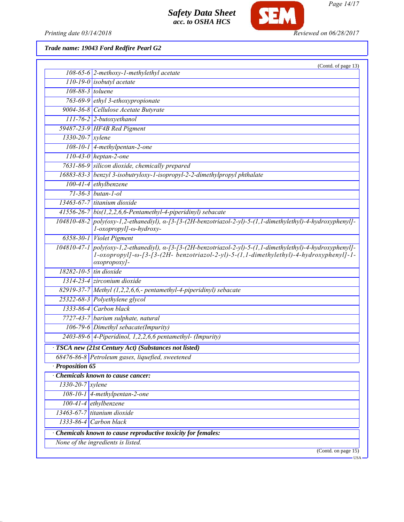

*Page 14/17*

*Printing date 03/14/2018 Reviewed on 06/28/2017*

# *Trade name: 19043 Ford Redfire Pearl G2*

| (Contd. of page 13)                                                                                                                                                                                                           |
|-------------------------------------------------------------------------------------------------------------------------------------------------------------------------------------------------------------------------------|
| $108-65-6$ 2-methoxy-1-methylethyl acetate                                                                                                                                                                                    |
| $110-19-0$ isobutyl acetate                                                                                                                                                                                                   |
| $108-88-3$ toluene                                                                                                                                                                                                            |
| 763-69-9 ethyl 3-ethoxypropionate                                                                                                                                                                                             |
| 9004-36-8 Cellulose Acetate Butyrate                                                                                                                                                                                          |
| $111$ -76-2 2-butoxyethanol                                                                                                                                                                                                   |
| 59487-23-9 HF4B Red Pigment                                                                                                                                                                                                   |
| $1330 - 20 - 7$ xylene                                                                                                                                                                                                        |
| 108-10-1 4-methylpentan-2-one                                                                                                                                                                                                 |
| $110-43-0$ heptan-2-one                                                                                                                                                                                                       |
| 7631-86-9 silicon dioxide, chemically prepared                                                                                                                                                                                |
| 16883-83-3 benzyl 3-isobutryloxy-1-isopropyl-2-2-dimethylpropyl phthalate                                                                                                                                                     |
| $100-41-4$ ethylbenzene                                                                                                                                                                                                       |
| $71 - 36 - 3$ butan-1-ol                                                                                                                                                                                                      |
| 13463-67-7 titanium dioxide                                                                                                                                                                                                   |
| 41556-26-7 bis(1,2,2,6,6-Pentamethyl-4-piperidinyl) sebacate                                                                                                                                                                  |
| $104810-48-2$ poly(oxy-1,2-ethanediyl), $\alpha$ -[3-[3-(2H-benzotriazol-2-yl)-5-(1,1-dimethylethyl)-4-hydroxyphenyl]-<br>l-oxopropyl]-ω-hydroxy-                                                                             |
| 6358-30-1 Violet Pigment                                                                                                                                                                                                      |
| $104810-47-1$ poly(oxy-1,2-ethanediyl), $\alpha$ -[3-(2H-benzotriazol-2-yl)-5-(1,1-dimethylethyl)-4-hydroxyphenyl]-<br>1-oxopropyl]-ω-[3-[3-(2H- benzotriazol-2-yl)-5-(1,1-dimethylethyl)-4-hydroxyphenyl]-1-<br>oxopropoxy]- |
| 18282-10-5 tin dioxide                                                                                                                                                                                                        |
| 1314-23-4 zirconium dioxide                                                                                                                                                                                                   |
| 82919-37-7 Methyl $(1,2,2,6,6,$ - pentamethyl-4-piperidinyl) sebacate                                                                                                                                                         |
| 25322-68-3 Polyethylene glycol                                                                                                                                                                                                |
| 1333-86-4 Carbon black                                                                                                                                                                                                        |
| 7727-43-7 barium sulphate, natural                                                                                                                                                                                            |
| 106-79-6 Dimethyl sebacate(Impurity)                                                                                                                                                                                          |
| 2403-89-6 4-Piperidinol, 1,2,2,6,6 pentamethyl- (Impurity)                                                                                                                                                                    |
| TSCA new (21st Century Act) (Substances not listed)                                                                                                                                                                           |
| 68476-86-8 Petroleum gases, liquefied, sweetened                                                                                                                                                                              |
| $\cdot$ Proposition 65                                                                                                                                                                                                        |
| <b>Chemicals known to cause cancer:</b>                                                                                                                                                                                       |
| 1330-20-7 xylene                                                                                                                                                                                                              |
| 108-10-1 4-methylpentan-2-one                                                                                                                                                                                                 |
| $100-41-4$ ethylbenzene                                                                                                                                                                                                       |
| 13463-67-7 titanium dioxide                                                                                                                                                                                                   |
| 1333-86-4 Carbon black                                                                                                                                                                                                        |
|                                                                                                                                                                                                                               |
| Chemicals known to cause reproductive toxicity for females:                                                                                                                                                                   |
| None of the ingredients is listed.                                                                                                                                                                                            |
|                                                                                                                                                                                                                               |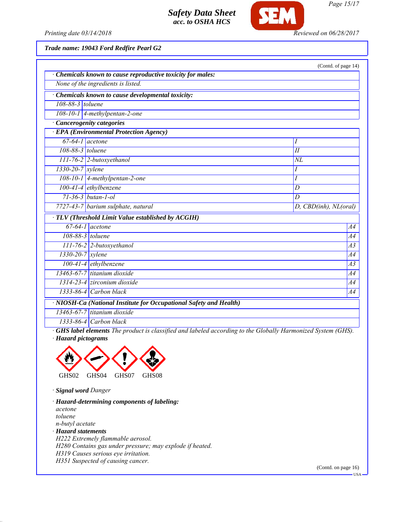

*Page 15/17*

*Printing date 03/14/2018 Reviewed on 06/28/2017*

*Trade name: 19043 Ford Redfire Pearl G2*

|                               |                                                                    | (Contd. of page 14)   |
|-------------------------------|--------------------------------------------------------------------|-----------------------|
|                               | · Chemicals known to cause reproductive toxicity for males:        |                       |
|                               | None of the ingredients is listed.                                 |                       |
|                               | Chemicals known to cause developmental toxicity:                   |                       |
| 108-88-3 toluene              |                                                                    |                       |
|                               | $108-10-1$ 4-methylpentan-2-one                                    |                       |
|                               | <b>Cancerogenity categories</b>                                    |                       |
|                               | · EPA (Environmental Protection Agency)                            |                       |
|                               | $67-64-1$ acetone                                                  | Ι                     |
| 108-88-3 toluene              |                                                                    | $\overline{H}$        |
|                               | 111-76-2 2-butoxyethanol                                           | $\overline{NL}$       |
| $1330 - 20 - 7$ <i>xylene</i> |                                                                    | Ι                     |
|                               | 108-10-1 4-methylpentan-2-one                                      | I                     |
|                               | 100-41-4 ethylbenzene                                              | D                     |
|                               | $71 - 36 - 3$ butan-1-ol                                           | D                     |
|                               | 7727-43-7 barium sulphate, natural                                 | D, CBD(inh), NL(oral) |
|                               | · TLV (Threshold Limit Value established by ACGIH)                 |                       |
|                               | $67-64-1$ acetone                                                  | A4                    |
|                               | $108-88-3$ toluene                                                 | A4                    |
|                               | $111$ -76-2 2-butoxyethanol                                        | $\overline{A3}$       |
| $1330-20-7$ xylene            |                                                                    | <i>A4</i>             |
|                               | $100-41-4$ ethylbenzene                                            | $\overline{A}3$       |
|                               | 13463-67-7 titanium dioxide                                        | A4                    |
|                               | 1314-23-4 zirconium dioxide                                        | <i>A4</i>             |
|                               | $1333-86-4$ Carbon black                                           | A4                    |
|                               | · NIOSH-Ca (National Institute for Occupational Safety and Health) |                       |
|                               | 13463-67-7 titanium dioxide                                        |                       |
|                               | 1333-86-4 Carbon black                                             |                       |

*· GHS label elements The product is classified and labeled according to the Globally Harmonized System (GHS). · Hazard pictograms*



*· Signal word Danger*

*· Hazard-determining components of labeling: acetone toluene n-butyl acetate · Hazard statements H222 Extremely flammable aerosol. H280 Contains gas under pressure; may explode if heated. H319 Causes serious eye irritation. H351 Suspected of causing cancer.*

(Contd. on page 16)

 $-<sub>USA</sub>$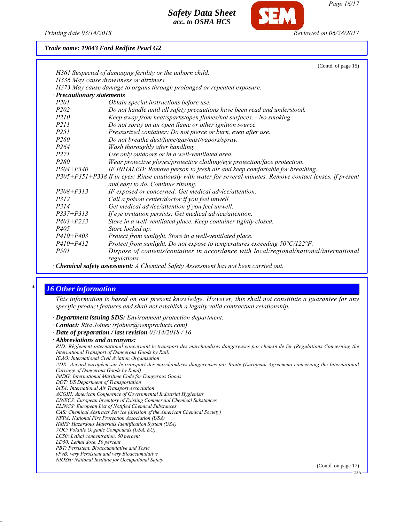

*Page 16/17*

*Printing date 03/14/2018 Reviewed on 06/28/2017*

*Trade name: 19043 Ford Redfire Pearl G2*

|                                 | (Contd. of page 15)                                                                                           |
|---------------------------------|---------------------------------------------------------------------------------------------------------------|
|                                 | H361 Suspected of damaging fertility or the unborn child.                                                     |
|                                 | H336 May cause drowsiness or dizziness.                                                                       |
|                                 | H373 May cause damage to organs through prolonged or repeated exposure.                                       |
| <b>Precautionary statements</b> |                                                                                                               |
| <i>P201</i>                     | Obtain special instructions before use.                                                                       |
| P <sub>202</sub>                | Do not handle until all safety precautions have been read and understood.                                     |
| <i>P210</i>                     | Keep away from heat/sparks/open flames/hot surfaces. - No smoking.                                            |
| <i>P211</i>                     | Do not spray on an open flame or other ignition source.                                                       |
| <i>P251</i>                     | Pressurized container: Do not pierce or burn, even after use.                                                 |
| <i>P260</i>                     | Do not breathe dust/fume/gas/mist/vapors/spray.                                                               |
| P <sub>264</sub>                | Wash thoroughly after handling.                                                                               |
| <i>P271</i>                     | Use only outdoors or in a well-ventilated area.                                                               |
| P280                            | Wear protective gloves/protective clothing/eye protection/face protection.                                    |
| $P304 + P340$                   | IF INHALED: Remove person to fresh air and keep comfortable for breathing.                                    |
|                                 | P305+P351+P338 If in eyes: Rinse cautiously with water for several minutes. Remove contact lenses, if present |
|                                 | and easy to do. Continue rinsing.                                                                             |
| $P308 + P313$                   | IF exposed or concerned: Get medical advice/attention.                                                        |
| P312                            | Call a poison center/doctor if you feel unwell.                                                               |
| P314                            | Get medical advice/attention if you feel unwell.                                                              |
| $P337 + P313$                   | If eye irritation persists: Get medical advice/attention.                                                     |
| $P403 + P233$                   | Store in a well-ventilated place. Keep container tightly closed.                                              |
| <i>P405</i>                     | Store locked up.                                                                                              |
| $P410 + P403$                   | Protect from sunlight. Store in a well-ventilated place.                                                      |
| $P410 + P412$                   | Protect from sunlight. Do not expose to temperatures exceeding 50°C/122°F.                                    |
| <i>P501</i>                     | Dispose of contents/container in accordance with local/regional/national/international<br>regulations.        |
| $-1$ $-1$ $-1$ $-1$             |                                                                                                               |

*· Chemical safety assessment: A Chemical Safety Assessment has not been carried out.*

### *\* 16 Other information*

*This information is based on our present knowledge. However, this shall not constitute a guarantee for any specific product features and shall not establish a legally valid contractual relationship.*

*· Department issuing SDS: Environment protection department.*

- *· Contact: Rita Joiner (rjoiner@semproducts.com)*
- *· Date of preparation / last revision 03/14/2018 / 16*
- *· Abbreviations and acronyms:*

*RID: Règlement international concernant le transport des marchandises dangereuses par chemin de fer (Regulations Concerning the International Transport of Dangerous Goods by Rail)*

*ICAO: International Civil Aviation Organisation*

*ADR: Accord européen sur le transport des marchandises dangereuses par Route (European Agreement concerning the International Carriage of Dangerous Goods by Road)*

- *IMDG: International Maritime Code for Dangerous Goods*
- *DOT: US Department of Transportation*
- *IATA: International Air Transport Association*
- *ACGIH: American Conference of Governmental Industrial Hygienists*
- *EINECS: European Inventory of Existing Commercial Chemical Substances*
- *ELINCS: European List of Notified Chemical Substances*
- *CAS: Chemical Abstracts Service (division of the American Chemical Society)*
- *NFPA: National Fire Protection Association (USA)*
- *HMIS: Hazardous Materials Identification System (USA)*
- *VOC: Volatile Organic Compounds (USA, EU)*
- *LC50: Lethal concentration, 50 percent*
- *LD50: Lethal dose, 50 percent*
- *PBT: Persistent, Bioaccumulative and Toxic*
- *vPvB: very Persistent and very Bioaccumulative*
- *NIOSH: National Institute for Occupational Safety*

(Contd. on page 17)